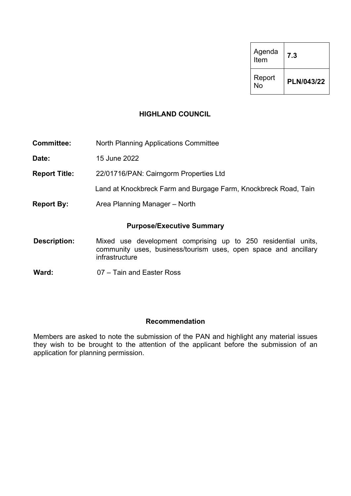| Agenda<br>Item | 7.3        |
|----------------|------------|
| Report<br>No   | PLN/043/22 |

#### **HIGHLAND COUNCIL**

**Committee:** North Planning Applications Committee

**Date:** 15 June 2022

**Report Title:** 22/01716/PAN: Cairngorm Properties Ltd

Land at Knockbreck Farm and Burgage Farm, Knockbreck Road, Tain

**Report By:** Area Planning Manager – North

#### **Purpose/Executive Summary**

- **Description:** Mixed use development comprising up to 250 residential units, community uses, business/tourism uses, open space and ancillary infrastructure
- **Ward:** 07 Tain and Easter Ross

#### **Recommendation**

Members are asked to note the submission of the PAN and highlight any material issues they wish to be brought to the attention of the applicant before the submission of an application for planning permission.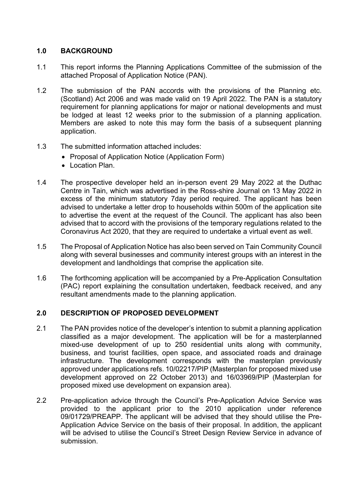# **1.0 BACKGROUND**

- 1.1 This report informs the Planning Applications Committee of the submission of the attached Proposal of Application Notice (PAN).
- 1.2 The submission of the PAN accords with the provisions of the Planning etc. (Scotland) Act 2006 and was made valid on 19 April 2022. The PAN is a statutory requirement for planning applications for major or national developments and must be lodged at least 12 weeks prior to the submission of a planning application. Members are asked to note this may form the basis of a subsequent planning application.
- 1.3 The submitted information attached includes:
	- Proposal of Application Notice (Application Form)
	- Location Plan
- 1.4 The prospective developer held an in-person event 29 May 2022 at the Duthac Centre in Tain, which was advertised in the Ross-shire Journal on 13 May 2022 in excess of the minimum statutory 7day period required. The applicant has been advised to undertake a letter drop to households within 500m of the application site to advertise the event at the request of the Council. The applicant has also been advised that to accord with the provisions of the temporary regulations related to the Coronavirus Act 2020, that they are required to undertake a virtual event as well.
- 1.5 The Proposal of Application Notice has also been served on Tain Community Council along with several businesses and community interest groups with an interest in the development and landholdings that comprise the application site.
- 1.6 The forthcoming application will be accompanied by a Pre-Application Consultation (PAC) report explaining the consultation undertaken, feedback received, and any resultant amendments made to the planning application.

#### **2.0 DESCRIPTION OF PROPOSED DEVELOPMENT**

- 2.1 The PAN provides notice of the developer's intention to submit a planning application classified as a major development. The application will be for a masterplanned mixed-use development of up to 250 residential units along with community, business, and tourist facilities, open space, and associated roads and drainage infrastructure. The development corresponds with the masterplan previously approved under applications refs. 10/02217/PIP (Masterplan for proposed mixed use development approved on 22 October 2013) and 16/03969/PIP (Masterplan for proposed mixed use development on expansion area).
- 2.2 Pre-application advice through the Council's Pre-Application Advice Service was provided to the applicant prior to the 2010 application under reference 09/01729/PREAPP. The applicant will be advised that they should utilise the Pre-Application Advice Service on the basis of their proposal. In addition, the applicant will be advised to utilise the Council's Street Design Review Service in advance of submission.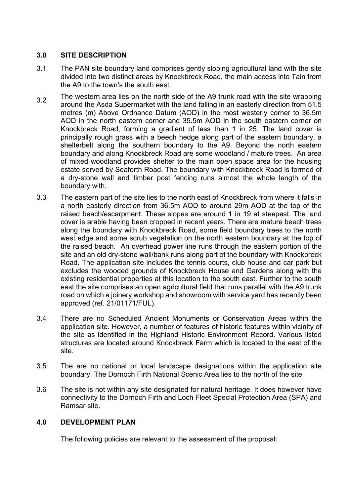# **3.0 SITE DESCRIPTION**

- 3.1 The PAN site boundary land comprises gently sloping agricultural land with the site divided into two distinct areas by Knockbreck Road, the main access into Tain from the A9 to the town's the south east.
- $3.2$  The western area lies on the north side of the A9 trunk road with the site wrapping around the Asda Supermarket with the land falling in an easterly direction from 51.5 metres (m) Above Ordnance Datum (AOD) in the most westerly corner to 36.5m AOD in the north eastern corner and 35.5m AOD in the south eastern corner on Knockbreck Road, forming a gradient of less than 1 in 25. The land cover is principally rough grass with a beech hedge along part of the eastern boundary, a shelterbelt along the southern boundary to the A9. Beyond the north eastern boundary and along Knockbreck Road are some woodland / mature trees. An area of mixed woodland provides shelter to the main open space area for the housing estate served by Seaforth Road. The boundary with Knockbreck Road is formed of a dry-stone wall and timber post fencing runs almost the whole length of the boundary with.
- 3.3 The eastern part of the site lies to the north east of Knockbreck from where it falls in a north easterly direction from 36.5m AOD to around 29m AOD at the top of the raised beach/escarpment. These slopes are around 1 in 19 at steepest. The land cover is arable having been cropped in recent years. There are mature beech trees along the boundary with Knockbreck Road, some field boundary trees to the north west edge and some scrub vegetation on the north eastern boundary at the top of the raised beach. An overhead power line runs through the eastern portion of the site and an old dry-stone wall/bank runs along part of the boundary with Knockbreck Road. The application site includes the tennis courts, club house and car park but excludes the wooded grounds of Knockbreck House and Gardens along with the existing residential properties at this location to the south east. Further to the south east the site comprises an open agricultural field that runs parallel with the A9 trunk road on which a joinery workshop and showroom with service yard has recently been approved (ref. 21/01171/FUL).
- 3.4 There are no Scheduled Ancient Monuments or Conservation Areas within the application site. However, a number of features of historic features within vicinity of the site as identified in the Highland Historic Environment Record. Various listed structures are located around Knockbreck Farm which is located to the east of the site.
- 3.5 The are no national or local landscape designations within the application site boundary. The Dornoch Firth National Scenic Area lies to the north of the site.
- 3.6 The site is not within any site designated for natural heritage. It does however have connectivity to the Dornoch Firth and Loch Fleet Special Protection Area (SPA) and Ramsar site.

# **4.0 DEVELOPMENT PLAN**

The following policies are relevant to the assessment of the proposal: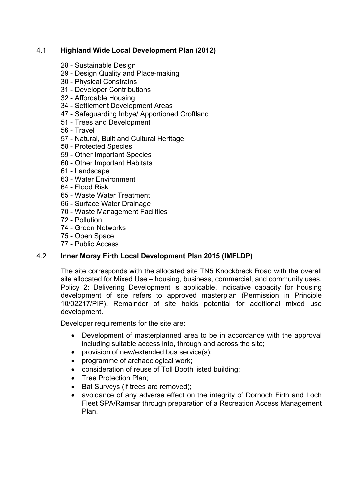# 4.1 **Highland Wide Local Development Plan (2012)**

- 28 Sustainable Design
- 29 Design Quality and Place-making
- 30 Physical Constrains
- 31 Developer Contributions
- 32 Affordable Housing
- 34 Settlement Development Areas
- 47 Safeguarding Inbye/ Apportioned Croftland
- 51 Trees and Development
- 56 Travel
- 57 Natural, Built and Cultural Heritage
- 58 Protected Species
- 59 Other Important Species
- 60 Other Important Habitats
- 61 Landscape
- 63 Water Environment
- 64 Flood Risk
- 65 Waste Water Treatment
- 66 Surface Water Drainage
- 70 Waste Management Facilities
- 72 Pollution
- 74 Green Networks
- 75 Open Space
- 77 Public Access

# 4.2 **Inner Moray Firth Local Development Plan 2015 (IMFLDP)**

The site corresponds with the allocated site TN5 Knockbreck Road with the overall site allocated for Mixed Use – housing, business, commercial, and community uses. Policy 2: Delivering Development is applicable. Indicative capacity for housing development of site refers to approved masterplan (Permission in Principle 10/02217/PIP). Remainder of site holds potential for additional mixed use development.

Developer requirements for the site are:

- Development of masterplanned area to be in accordance with the approval including suitable access into, through and across the site;
- provision of new/extended bus service(s);
- programme of archaeological work;
- consideration of reuse of Toll Booth listed building;
- Tree Protection Plan:
- Bat Surveys (if trees are removed);
- avoidance of any adverse effect on the integrity of Dornoch Firth and Loch Fleet SPA/Ramsar through preparation of a Recreation Access Management Plan.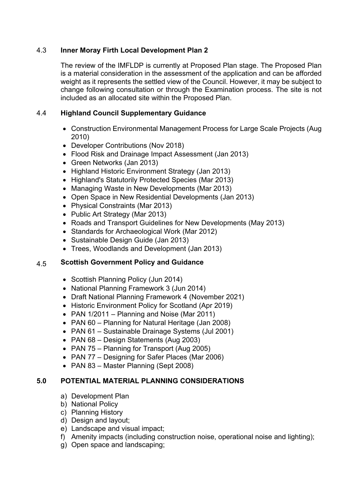# 4.3 **Inner Moray Firth Local Development Plan 2**

The review of the IMFLDP is currently at Proposed Plan stage. The Proposed Plan is a material consideration in the assessment of the application and can be afforded weight as it represents the settled view of the Council. However, it may be subject to change following consultation or through the Examination process. The site is not included as an allocated site within the Proposed Plan.

# 4.4 **Highland Council Supplementary Guidance**

- Construction Environmental Management Process for Large Scale Projects (Aug 2010)
- Developer Contributions (Nov 2018)
- Flood Risk and Drainage Impact Assessment (Jan 2013)
- Green Networks (Jan 2013)
- Highland Historic Environment Strategy (Jan 2013)
- Highland's Statutorily Protected Species (Mar 2013)
- Managing Waste in New Developments (Mar 2013)
- Open Space in New Residential Developments (Jan 2013)
- Physical Constraints (Mar 2013)
- Public Art Strategy (Mar 2013)
- Roads and Transport Guidelines for New Developments (May 2013)
- Standards for Archaeological Work (Mar 2012)
- Sustainable Design Guide (Jan 2013)
- Trees, Woodlands and Development (Jan 2013)

#### 4.5 **Scottish Government Policy and Guidance**

- Scottish Planning Policy (Jun 2014)
- National Planning Framework 3 (Jun 2014)
- Draft National Planning Framework 4 (November 2021)
- Historic Environment Policy for Scotland (Apr 2019)
- PAN 1/2011 Planning and Noise (Mar 2011)
- PAN 60 Planning for Natural Heritage (Jan 2008)
- PAN 61 Sustainable Drainage Systems (Jul 2001)
- PAN 68 Design Statements (Aug 2003)
- PAN 75 Planning for Transport (Aug 2005)
- PAN 77 Designing for Safer Places (Mar 2006)
- PAN 83 Master Planning (Sept 2008)

#### **5.0 POTENTIAL MATERIAL PLANNING CONSIDERATIONS**

- a) Development Plan
- b) National Policy
- c) Planning History
- d) Design and layout;
- e) Landscape and visual impact;
- f) Amenity impacts (including construction noise, operational noise and lighting);
- g) Open space and landscaping;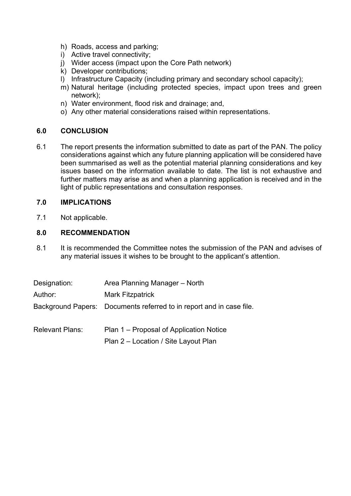- h) Roads, access and parking;
- i) Active travel connectivity;
- j) Wider access (impact upon the Core Path network)
- k) Developer contributions;
- l) Infrastructure Capacity (including primary and secondary school capacity);
- m) Natural heritage (including protected species, impact upon trees and green network);
- n) Water environment, flood risk and drainage; and,
- o) Any other material considerations raised within representations.

# **6.0 CONCLUSION**

6.1 The report presents the information submitted to date as part of the PAN. The policy considerations against which any future planning application will be considered have been summarised as well as the potential material planning considerations and key issues based on the information available to date. The list is not exhaustive and further matters may arise as and when a planning application is received and in the light of public representations and consultation responses.

# **7.0 IMPLICATIONS**

7.1 Not applicable.

## **8.0 RECOMMENDATION**

8.1 It is recommended the Committee notes the submission of the PAN and advises of any material issues it wishes to be brought to the applicant's attention.

| Designation:    | Area Planning Manager - North                                        |
|-----------------|----------------------------------------------------------------------|
| Author:         | <b>Mark Fitzpatrick</b>                                              |
|                 | Background Papers: Documents referred to in report and in case file. |
| Relevant Plans: | Plan 1 – Proposal of Application Notice                              |

Plan 2 – Location / Site Layout Plan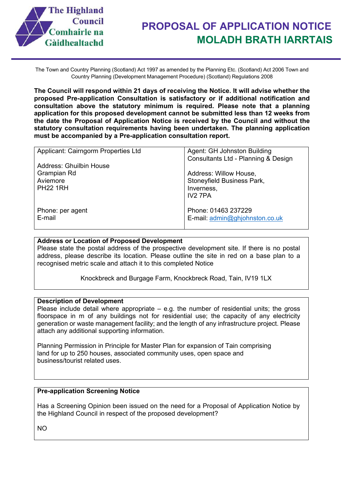

The Town and Country Planning (Scotland) Act 1997 as amended by the Planning Etc. (Scotland) Act 2006 Town and Country Planning (Development Management Procedure) (Scotland) Regulations 2008

**The Council will respond within 21 days of receiving the Notice. It will advise whether the proposed Pre-application Consultation is satisfactory or if additional notification and consultation above the statutory minimum is required. Please note that a planning application for this proposed development cannot be submitted less than 12 weeks from the date the Proposal of Application Notice is received by the Council and without the statutory consultation requirements having been undertaken. The planning application must be accompanied by a Pre-application consultation report.**

| Applicant: Cairngorm Properties Ltd | Agent: GH Johnston Building         |
|-------------------------------------|-------------------------------------|
|                                     | Consultants Ltd - Planning & Design |
| Address: Ghuilbin House             |                                     |
| Grampian Rd                         | Address: Willow House,              |
| Aviemore                            | Stoneyfield Business Park,          |
| <b>PH22 1RH</b>                     | Inverness,                          |
|                                     | IV <sub>2</sub> 7PA                 |
|                                     |                                     |
| Phone: per agent                    | Phone: 01463 237229                 |
| E-mail                              | E-mail: admin@ghjohnston.co.uk      |
|                                     |                                     |

#### **Address or Location of Proposed Development**

Please state the postal address of the prospective development site. If there is no postal address, please describe its location. Please outline the site in red on a base plan to a recognised metric scale and attach it to this completed Notice

Knockbreck and Burgage Farm, Knockbreck Road, Tain, IV19 1LX

#### **Description of Development**

Please include detail where appropriate – e.g. the number of residential units; the gross floorspace in m of any buildings not for residential use; the capacity of any electricity generation or waste management facility; and the length of any infrastructure project. Please attach any additional supporting information.

Planning Permission in Principle for Master Plan for expansion of Tain comprising land for up to 250 houses, associated community uses, open space and business/tourist related uses.

#### **Pre-application Screening Notice**

Has a Screening Opinion been issued on the need for a Proposal of Application Notice by the Highland Council in respect of the proposed development?

NO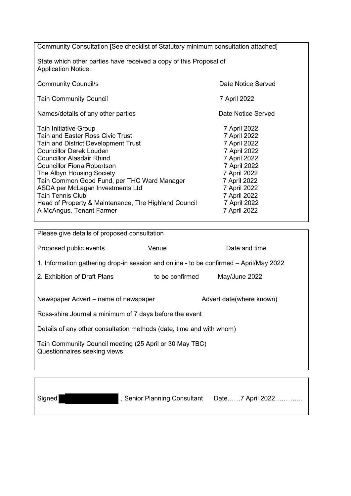Community Consultation [See checklist of Statutory minimum consultation attached]

State which other parties have received a copy of this Proposal of Application Notice.

| <b>Community Council/s</b>                           | Date Notice Served |
|------------------------------------------------------|--------------------|
| <b>Tain Community Council</b>                        | 7 April 2022       |
| Names/details of any other parties                   | Date Notice Served |
| <b>Tain Initiative Group</b>                         | 7 April 2022       |
| Tain and Easter Ross Civic Trust                     | 7 April 2022       |
| Tain and District Development Trust                  | 7 April 2022       |
| <b>Councillor Derek Louden</b>                       | 7 April 2022       |
| <b>Councillor Alasdair Rhind</b>                     | 7 April 2022       |
| <b>Councillor Fiona Robertson</b>                    | 7 April 2022       |
| The Albyn Housing Society                            | 7 April 2022       |
| Tain Common Good Fund, per THC Ward Manager          | 7 April 2022       |
| ASDA per McLagan Investments Ltd                     | 7 April 2022       |
| <b>Tain Tennis Club</b>                              | 7 April 2022       |
| Head of Property & Maintenance, The Highland Council | 7 April 2022       |
| A McAngus, Tenant Farmer                             | 7 April 2022       |

Please give details of proposed consultation Proposed public events **Venue** Venue Date and time 1. Information gathering drop-in session and online - to be confirmed – April/May 2022 2. Exhibition of Draft Plans to be confirmed May/June 2022 Newspaper Advert – name of newspaper Advert date(where known) Ross-shire Journal a minimum of 7 days before the event Details of any other consultation methods (date, time and with whom) Tain Community Council meeting (25 April or 30 May TBC) Questionnaires seeking views

Signed **Exercise 3 Assembly**, Senior Planning Consultant Date……7 April 2022…………